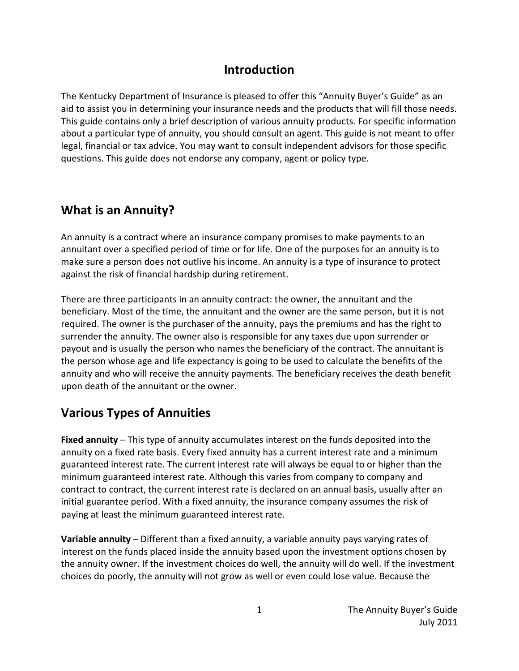#### **Introduction**

The Kentucky Department of Insurance is pleased to offer this "Annuity Buyer's Guide" as an aid to assist you in determining your insurance needs and the products that will fill those needs. This guide contains only a brief description of various annuity products. For specific information about a particular type of annuity, you should consult an agent. This guide is not meant to offer legal, financial or tax advice. You may want to consult independent advisors for those specific questions. This guide does not endorse any company, agent or policy type.

### **What is an Annuity?**

An annuity is a contract where an insurance company promises to make payments to an annuitant over a specified period of time or for life. One of the purposes for an annuity is to make sure a person does not outlive his income. An annuity is a type of insurance to protect against the risk of financial hardship during retirement.

There are three participants in an annuity contract: the owner, the annuitant and the beneficiary. Most of the time, the annuitant and the owner are the same person, but it is not required. The owner is the purchaser of the annuity, pays the premiums and has the right to surrender the annuity. The owner also is responsible for any taxes due upon surrender or payout and is usually the person who names the beneficiary of the contract. The annuitant is the person whose age and life expectancy is going to be used to calculate the benefits of the annuity and who will receive the annuity payments. The beneficiary receives the death benefit upon death of the annuitant or the owner.

# **Various Types of Annuities**

**Fixed annuity** – This type of annuity accumulates interest on the funds deposited into the annuity on a fixed rate basis. Every fixed annuity has a current interest rate and a minimum guaranteed interest rate. The current interest rate will always be equal to or higher than the minimum guaranteed interest rate. Although this varies from company to company and contract to contract, the current interest rate is declared on an annual basis, usually after an initial guarantee period. With a fixed annuity, the insurance company assumes the risk of paying at least the minimum guaranteed interest rate.

**Variable annuity** – Different than a fixed annuity, a variable annuity pays varying rates of interest on the funds placed inside the annuity based upon the investment options chosen by the annuity owner. If the investment choices do well, the annuity will do well. If the investment choices do poorly, the annuity will not grow as well or even could lose value. Because the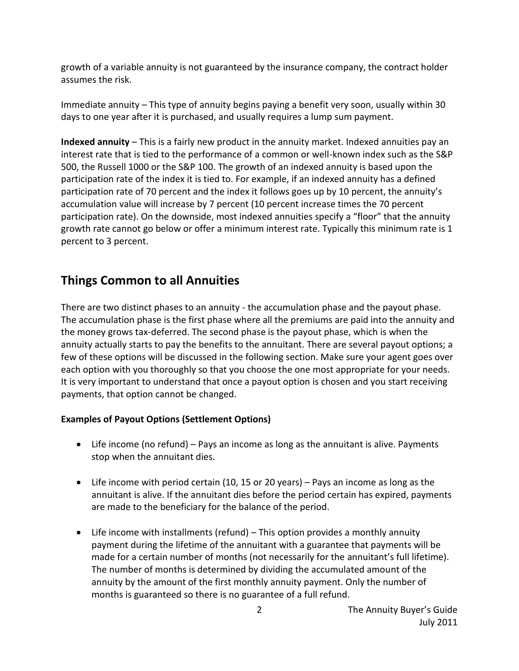growth of a variable annuity is not guaranteed by the insurance company, the contract holder assumes the risk.

Immediate annuity – This type of annuity begins paying a benefit very soon, usually within 30 days to one year after it is purchased, and usually requires a lump sum payment.

**Indexed annuity** – This is a fairly new product in the annuity market. Indexed annuities pay an interest rate that is tied to the performance of a common or well-known index such as the S&P 500, the Russell 1000 or the S&P 100. The growth of an indexed annuity is based upon the participation rate of the index it is tied to. For example, if an indexed annuity has a defined participation rate of 70 percent and the index it follows goes up by 10 percent, the annuity's accumulation value will increase by 7 percent (10 percent increase times the 70 percent participation rate). On the downside, most indexed annuities specify a "floor" that the annuity growth rate cannot go below or offer a minimum interest rate. Typically this minimum rate is 1 percent to 3 percent.

# **Things Common to all Annuities**

There are two distinct phases to an annuity - the accumulation phase and the payout phase. The accumulation phase is the first phase where all the premiums are paid into the annuity and the money grows tax-deferred. The second phase is the payout phase, which is when the annuity actually starts to pay the benefits to the annuitant. There are several payout options; a few of these options will be discussed in the following section. Make sure your agent goes over each option with you thoroughly so that you choose the one most appropriate for your needs. It is very important to understand that once a payout option is chosen and you start receiving payments, that option cannot be changed.

#### **Examples of Payout Options (Settlement Options)**

- Life income (no refund) Pays an income as long as the annuitant is alive. Payments stop when the annuitant dies.
- Life income with period certain (10, 15 or 20 years) Pays an income as long as the annuitant is alive. If the annuitant dies before the period certain has expired, payments are made to the beneficiary for the balance of the period.
- Life income with installments (refund) This option provides a monthly annuity payment during the lifetime of the annuitant with a guarantee that payments will be made for a certain number of months (not necessarily for the annuitant's full lifetime). The number of months is determined by dividing the accumulated amount of the annuity by the amount of the first monthly annuity payment. Only the number of months is guaranteed so there is no guarantee of a full refund.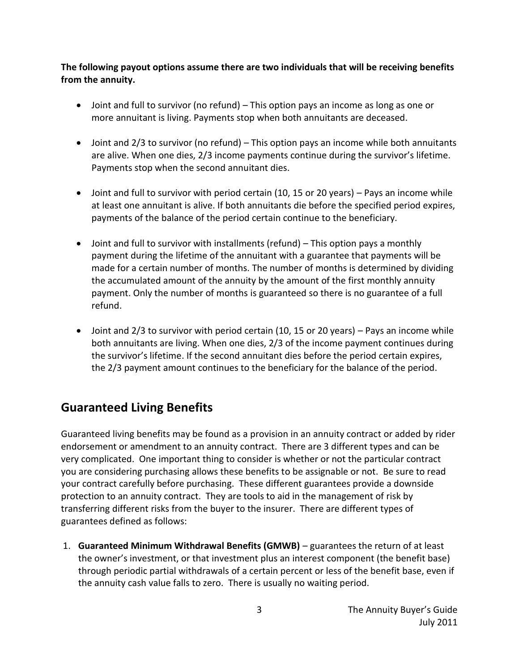#### **The following payout options assume there are two individuals that will be receiving benefits from the annuity.**

- Joint and full to survivor (no refund) This option pays an income as long as one or more annuitant is living. Payments stop when both annuitants are deceased.
- Joint and 2/3 to survivor (no refund) This option pays an income while both annuitants are alive. When one dies, 2/3 income payments continue during the survivor's lifetime. Payments stop when the second annuitant dies.
- Joint and full to survivor with period certain (10, 15 or 20 years) Pays an income while at least one annuitant is alive. If both annuitants die before the specified period expires, payments of the balance of the period certain continue to the beneficiary.
- Joint and full to survivor with installments (refund) This option pays a monthly payment during the lifetime of the annuitant with a guarantee that payments will be made for a certain number of months. The number of months is determined by dividing the accumulated amount of the annuity by the amount of the first monthly annuity payment. Only the number of months is guaranteed so there is no guarantee of a full refund.
- Joint and 2/3 to survivor with period certain (10, 15 or 20 years) Pays an income while both annuitants are living. When one dies, 2/3 of the income payment continues during the survivor's lifetime. If the second annuitant dies before the period certain expires, the 2/3 payment amount continues to the beneficiary for the balance of the period.

# **Guaranteed Living Benefits**

Guaranteed living benefits may be found as a provision in an annuity contract or added by rider endorsement or amendment to an annuity contract. There are 3 different types and can be very complicated. One important thing to consider is whether or not the particular contract you are considering purchasing allows these benefits to be assignable or not. Be sure to read your contract carefully before purchasing. These different guarantees provide a downside protection to an annuity contract. They are tools to aid in the management of risk by transferring different risks from the buyer to the insurer. There are different types of guarantees defined as follows:

1. **Guaranteed Minimum Withdrawal Benefits (GMWB)** – guarantees the return of at least the owner's investment, or that investment plus an interest component (the benefit base) through periodic partial withdrawals of a certain percent or less of the benefit base, even if the annuity cash value falls to zero. There is usually no waiting period.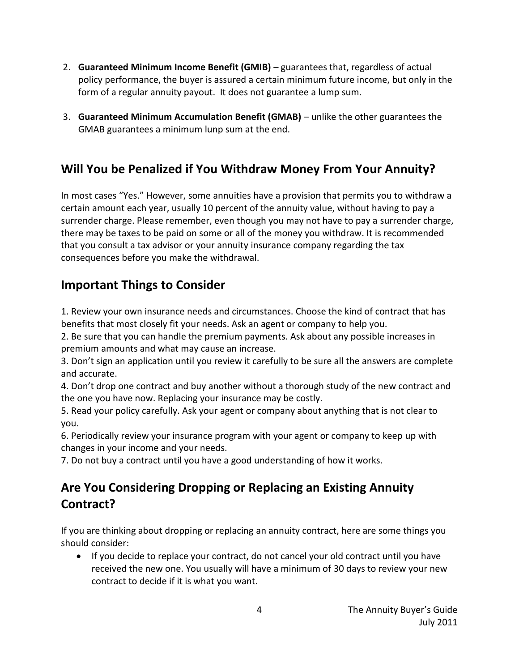- 2. **Guaranteed Minimum Income Benefit (GMIB)** guarantees that, regardless of actual policy performance, the buyer is assured a certain minimum future income, but only in the form of a regular annuity payout. It does not guarantee a lump sum.
- 3. **Guaranteed Minimum Accumulation Benefit (GMAB)** unlike the other guarantees the GMAB guarantees a minimum lunp sum at the end.

# **Will You be Penalized if You Withdraw Money From Your Annuity?**

In most cases "Yes." However, some annuities have a provision that permits you to withdraw a certain amount each year, usually 10 percent of the annuity value, without having to pay a surrender charge. Please remember, even though you may not have to pay a surrender charge, there may be taxes to be paid on some or all of the money you withdraw. It is recommended that you consult a tax advisor or your annuity insurance company regarding the tax consequences before you make the withdrawal.

# **Important Things to Consider**

1. Review your own insurance needs and circumstances. Choose the kind of contract that has benefits that most closely fit your needs. Ask an agent or company to help you.

2. Be sure that you can handle the premium payments. Ask about any possible increases in premium amounts and what may cause an increase.

3. Don't sign an application until you review it carefully to be sure all the answers are complete and accurate.

4. Don't drop one contract and buy another without a thorough study of the new contract and the one you have now. Replacing your insurance may be costly.

5. Read your policy carefully. Ask your agent or company about anything that is not clear to you.

6. Periodically review your insurance program with your agent or company to keep up with changes in your income and your needs.

7. Do not buy a contract until you have a good understanding of how it works.

# **Are You Considering Dropping or Replacing an Existing Annuity Contract?**

If you are thinking about dropping or replacing an annuity contract, here are some things you should consider:

 If you decide to replace your contract, do not cancel your old contract until you have received the new one. You usually will have a minimum of 30 days to review your new contract to decide if it is what you want.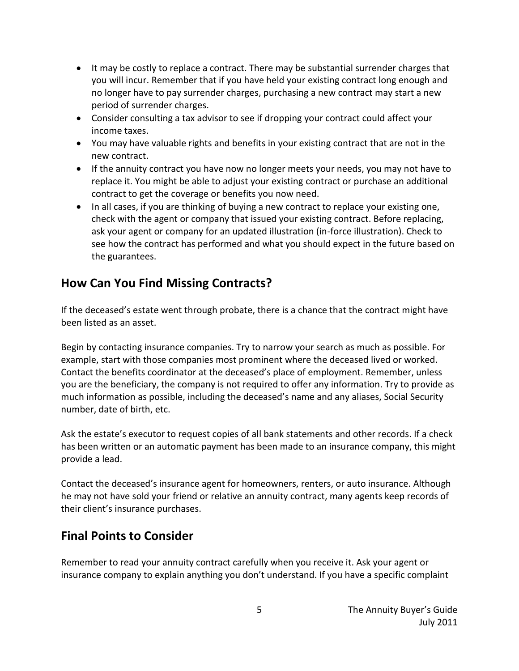- It may be costly to replace a contract. There may be substantial surrender charges that you will incur. Remember that if you have held your existing contract long enough and no longer have to pay surrender charges, purchasing a new contract may start a new period of surrender charges.
- Consider consulting a tax advisor to see if dropping your contract could affect your income taxes.
- You may have valuable rights and benefits in your existing contract that are not in the new contract.
- If the annuity contract you have now no longer meets your needs, you may not have to replace it. You might be able to adjust your existing contract or purchase an additional contract to get the coverage or benefits you now need.
- In all cases, if you are thinking of buying a new contract to replace your existing one, check with the agent or company that issued your existing contract. Before replacing, ask your agent or company for an updated illustration (in-force illustration). Check to see how the contract has performed and what you should expect in the future based on the guarantees.

# **How Can You Find Missing Contracts?**

If the deceased's estate went through probate, there is a chance that the contract might have been listed as an asset.

Begin by contacting insurance companies. Try to narrow your search as much as possible. For example, start with those companies most prominent where the deceased lived or worked. Contact the benefits coordinator at the deceased's place of employment. Remember, unless you are the beneficiary, the company is not required to offer any information. Try to provide as much information as possible, including the deceased's name and any aliases, Social Security number, date of birth, etc.

Ask the estate's executor to request copies of all bank statements and other records. If a check has been written or an automatic payment has been made to an insurance company, this might provide a lead.

Contact the deceased's insurance agent for homeowners, renters, or auto insurance. Although he may not have sold your friend or relative an annuity contract, many agents keep records of their client's insurance purchases.

# **Final Points to Consider**

Remember to read your annuity contract carefully when you receive it. Ask your agent or insurance company to explain anything you don't understand. If you have a specific complaint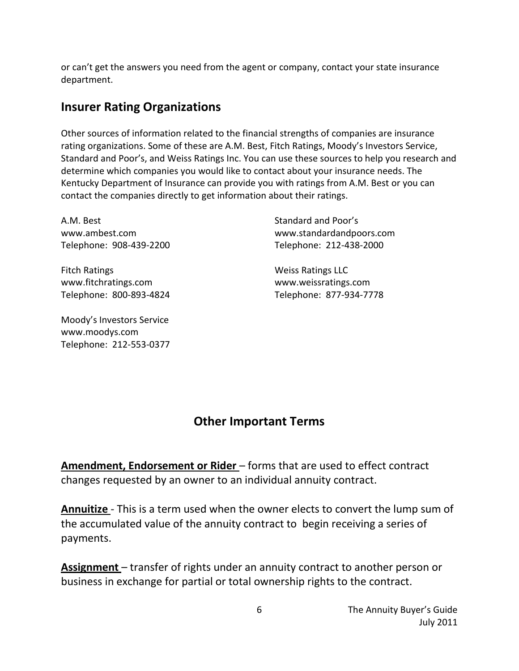or can't get the answers you need from the agent or company, contact your state insurance department.

#### **Insurer Rating Organizations**

Other sources of information related to the financial strengths of companies are insurance rating organizations. Some of these are A.M. Best, Fitch Ratings, Moody's Investors Service, Standard and Poor's, and Weiss Ratings Inc. You can use these sources to help you research and determine which companies you would like to contact about your insurance needs. The Kentucky Department of Insurance can provide you with ratings from A.M. Best or you can contact the companies directly to get information about their ratings.

A.M. Best Standard and Poor's Standard and Poor's Telephone: 908-439-2200 Telephone: 212-438-2000

Fitch Ratings **Mation** Controller Matings LLC www.fitchratings.com www.weissratings.com

Moody's Investors Service www.moodys.com Telephone: 212-553-0377

www.ambest.com www.standardandpoors.com

Telephone: 800-893-4824 Telephone: 877-934-7778

# **Other Important Terms**

**Amendment, Endorsement or Rider** – forms that are used to effect contract changes requested by an owner to an individual annuity contract.

**Annuitize** - This is a term used when the owner elects to convert the lump sum of the accumulated value of the annuity contract to begin receiving a series of payments.

**Assignment** – transfer of rights under an annuity contract to another person or business in exchange for partial or total ownership rights to the contract.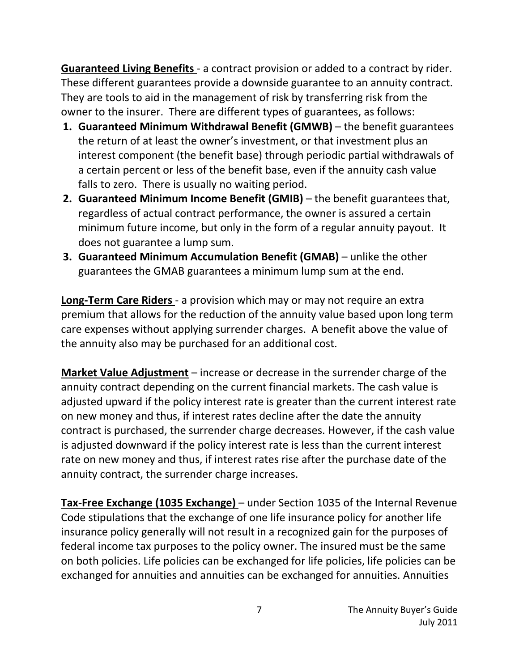**Guaranteed Living Benefits** - a contract provision or added to a contract by rider. These different guarantees provide a downside guarantee to an annuity contract. They are tools to aid in the management of risk by transferring risk from the owner to the insurer. There are different types of guarantees, as follows:

- **1. Guaranteed Minimum Withdrawal Benefit (GMWB)** the benefit guarantees the return of at least the owner's investment, or that investment plus an interest component (the benefit base) through periodic partial withdrawals of a certain percent or less of the benefit base, even if the annuity cash value falls to zero. There is usually no waiting period.
- **2. Guaranteed Minimum Income Benefit (GMIB)** the benefit guarantees that, regardless of actual contract performance, the owner is assured a certain minimum future income, but only in the form of a regular annuity payout. It does not guarantee a lump sum.
- **3. Guaranteed Minimum Accumulation Benefit (GMAB)** unlike the other guarantees the GMAB guarantees a minimum lump sum at the end.

**Long-Term Care Riders** - a provision which may or may not require an extra premium that allows for the reduction of the annuity value based upon long term care expenses without applying surrender charges. A benefit above the value of the annuity also may be purchased for an additional cost.

**Market Value Adjustment** – increase or decrease in the surrender charge of the annuity contract depending on the current financial markets. The cash value is adjusted upward if the policy interest rate is greater than the current interest rate on new money and thus, if interest rates decline after the date the annuity contract is purchased, the surrender charge decreases. However, if the cash value is adjusted downward if the policy interest rate is less than the current interest rate on new money and thus, if interest rates rise after the purchase date of the annuity contract, the surrender charge increases.

**Tax-Free Exchange (1035 Exchange)** – under Section 1035 of the Internal Revenue Code stipulations that the exchange of one life insurance policy for another life insurance policy generally will not result in a recognized gain for the purposes of federal income tax purposes to the policy owner. The insured must be the same on both policies. Life policies can be exchanged for life policies, life policies can be exchanged for annuities and annuities can be exchanged for annuities. Annuities